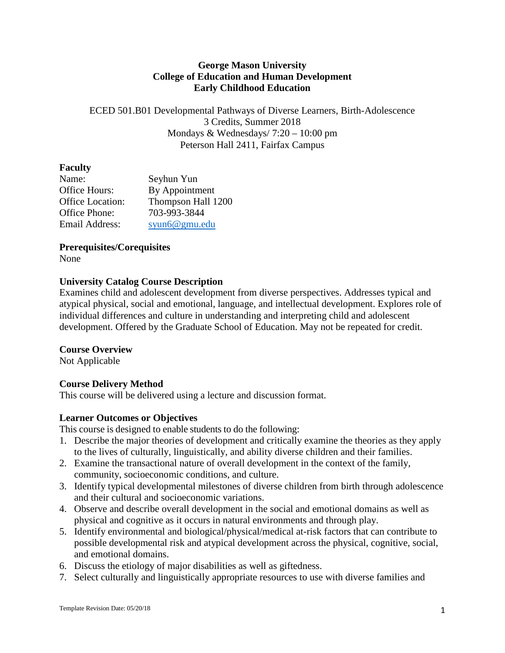## **George Mason University College of Education and Human Development Early Childhood Education**

ECED 501.B01 Developmental Pathways of Diverse Learners, Birth-Adolescence 3 Credits, Summer 2018 Mondays & Wednesdays/ 7:20 – 10:00 pm Peterson Hall 2411, Fairfax Campus

## **Faculty**

| Name:                   | Seyhun Yun         |
|-------------------------|--------------------|
| Office Hours:           | By Appointment     |
| <b>Office Location:</b> | Thompson Hall 1200 |
| Office Phone:           | 703-993-3844       |
| Email Address:          | syun6@gmu.edu      |

### **Prerequisites/Corequisites**

None

# **University Catalog Course Description**

Examines child and adolescent development from diverse perspectives. Addresses typical and atypical physical, social and emotional, language, and intellectual development. Explores role of individual differences and culture in understanding and interpreting child and adolescent development. Offered by the Graduate School of Education. May not be repeated for credit.

### **Course Overview**

Not Applicable

# **Course Delivery Method**

This course will be delivered using a lecture and discussion format.

### **Learner Outcomes or Objectives**

This course is designed to enable students to do the following:

- 1. Describe the major theories of development and critically examine the theories as they apply to the lives of culturally, linguistically, and ability diverse children and their families.
- 2. Examine the transactional nature of overall development in the context of the family, community, socioeconomic conditions, and culture.
- 3. Identify typical developmental milestones of diverse children from birth through adolescence and their cultural and socioeconomic variations.
- 4. Observe and describe overall development in the social and emotional domains as well as physical and cognitive as it occurs in natural environments and through play.
- 5. Identify environmental and biological/physical/medical at-risk factors that can contribute to possible developmental risk and atypical development across the physical, cognitive, social, and emotional domains.
- 6. Discuss the etiology of major disabilities as well as giftedness.
- 7. Select culturally and linguistically appropriate resources to use with diverse families and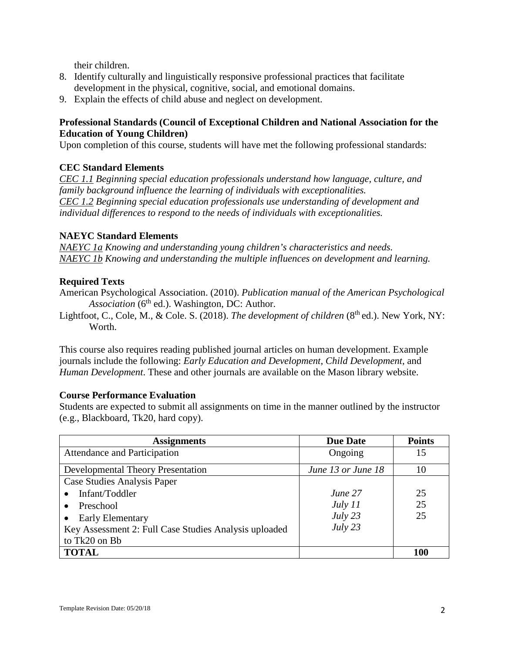their children.

- 8. Identify culturally and linguistically responsive professional practices that facilitate development in the physical, cognitive, social, and emotional domains.
- 9. Explain the effects of child abuse and neglect on development.

## **Professional Standards (Council of Exceptional Children and National Association for the Education of Young Children)**

Upon completion of this course, students will have met the following professional standards:

# **CEC Standard Elements**

*CEC 1.1 Beginning special education professionals understand how language, culture, and family background influence the learning of individuals with exceptionalities. CEC 1.2 Beginning special education professionals use understanding of development and individual differences to respond to the needs of individuals with exceptionalities.*

### **NAEYC Standard Elements**

*NAEYC 1a Knowing and understanding young children's characteristics and needs. NAEYC 1b Knowing and understanding the multiple influences on development and learning.*

## **Required Texts**

- American Psychological Association. (2010). *Publication manual of the American Psychological Association* (6<sup>th</sup> ed.). Washington, DC: Author.
- Lightfoot, C., Cole, M., & Cole. S. (2018). *The development of children* (8<sup>th</sup> ed.). New York, NY: Worth.

This course also requires reading published journal articles on human development. Example journals include the following: *Early Education and Development*, *Child Development*, and *Human Development*. These and other journals are available on the Mason library website.

### **Course Performance Evaluation**

Students are expected to submit all assignments on time in the manner outlined by the instructor (e.g., Blackboard, Tk20, hard copy).

| <b>Assignments</b>                                    | <b>Due Date</b>    | <b>Points</b> |
|-------------------------------------------------------|--------------------|---------------|
| Attendance and Participation                          | Ongoing            | 15            |
| <b>Developmental Theory Presentation</b>              | June 13 or June 18 | 10            |
| Case Studies Analysis Paper                           |                    |               |
| Infant/Toddler<br>$\bullet$                           | June 27            | 25            |
| Preschool<br>$\bullet$                                | July 11            | 25            |
| <b>Early Elementary</b>                               | July 23            | 25            |
| Key Assessment 2: Full Case Studies Analysis uploaded | July 23            |               |
| to Tk20 on Bb                                         |                    |               |
| <b>TOTAL</b>                                          |                    | 100           |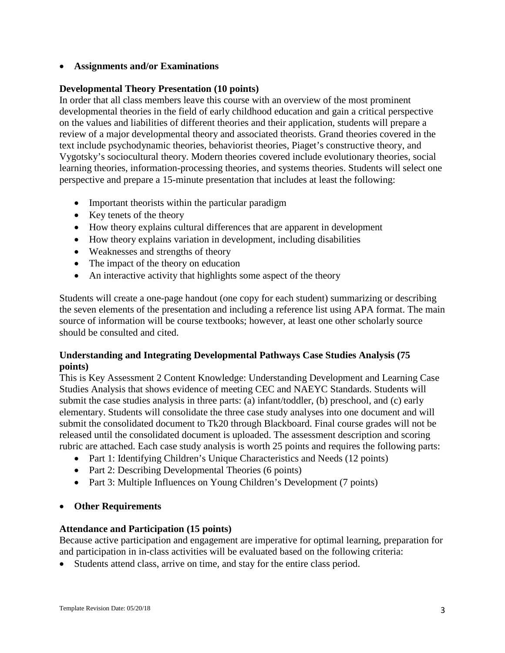• **Assignments and/or Examinations**

## **Developmental Theory Presentation (10 points)**

In order that all class members leave this course with an overview of the most prominent developmental theories in the field of early childhood education and gain a critical perspective on the values and liabilities of different theories and their application, students will prepare a review of a major developmental theory and associated theorists. Grand theories covered in the text include psychodynamic theories, behaviorist theories, Piaget's constructive theory, and Vygotsky's sociocultural theory. Modern theories covered include evolutionary theories, social learning theories, information-processing theories, and systems theories. Students will select one perspective and prepare a 15-minute presentation that includes at least the following:

- Important theorists within the particular paradigm
- Key tenets of the theory
- How theory explains cultural differences that are apparent in development
- How theory explains variation in development, including disabilities
- Weaknesses and strengths of theory
- The impact of the theory on education
- An interactive activity that highlights some aspect of the theory

Students will create a one-page handout (one copy for each student) summarizing or describing the seven elements of the presentation and including a reference list using APA format. The main source of information will be course textbooks; however, at least one other scholarly source should be consulted and cited.

## **Understanding and Integrating Developmental Pathways Case Studies Analysis (75 points)**

This is Key Assessment 2 Content Knowledge: Understanding Development and Learning Case Studies Analysis that shows evidence of meeting CEC and NAEYC Standards. Students will submit the case studies analysis in three parts: (a) infant/toddler, (b) preschool, and (c) early elementary. Students will consolidate the three case study analyses into one document and will submit the consolidated document to Tk20 through Blackboard. Final course grades will not be released until the consolidated document is uploaded. The assessment description and scoring rubric are attached. Each case study analysis is worth 25 points and requires the following parts:

- Part 1: Identifying Children's Unique Characteristics and Needs (12 points)
- Part 2: Describing Developmental Theories (6 points)
- Part 3: Multiple Influences on Young Children's Development (7 points)

# • **Other Requirements**

# **Attendance and Participation (15 points)**

Because active participation and engagement are imperative for optimal learning, preparation for and participation in in-class activities will be evaluated based on the following criteria:

• Students attend class, arrive on time, and stay for the entire class period.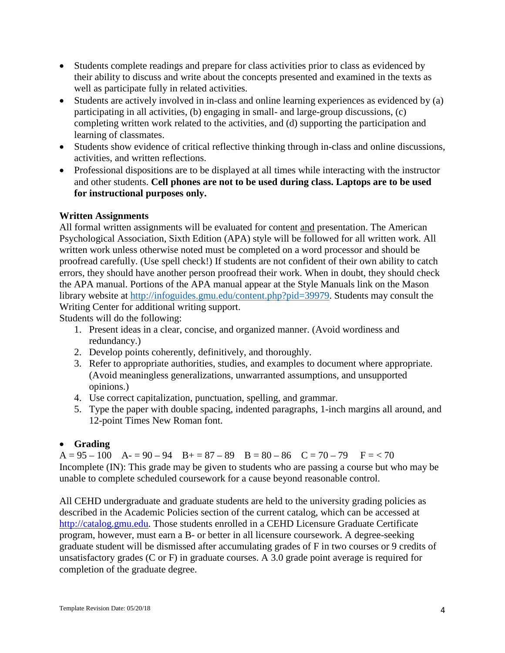- Students complete readings and prepare for class activities prior to class as evidenced by their ability to discuss and write about the concepts presented and examined in the texts as well as participate fully in related activities.
- Students are actively involved in in-class and online learning experiences as evidenced by (a) participating in all activities, (b) engaging in small- and large-group discussions, (c) completing written work related to the activities, and (d) supporting the participation and learning of classmates.
- Students show evidence of critical reflective thinking through in-class and online discussions, activities, and written reflections.
- Professional dispositions are to be displayed at all times while interacting with the instructor and other students. **Cell phones are not to be used during class. Laptops are to be used for instructional purposes only.**

# **Written Assignments**

All formal written assignments will be evaluated for content and presentation. The American Psychological Association, Sixth Edition (APA) style will be followed for all written work. All written work unless otherwise noted must be completed on a word processor and should be proofread carefully. (Use spell check!) If students are not confident of their own ability to catch errors, they should have another person proofread their work. When in doubt, they should check the APA manual. Portions of the APA manual appear at the Style Manuals link on the Mason library website at [http://infoguides.gmu.edu/content.php?pid=39979.](http://infoguides.gmu.edu/content.php?pid=39979) Students may consult the Writing Center for additional writing support.

Students will do the following:

- 1. Present ideas in a clear, concise, and organized manner. (Avoid wordiness and redundancy.)
- 2. Develop points coherently, definitively, and thoroughly.
- 3. Refer to appropriate authorities, studies, and examples to document where appropriate. (Avoid meaningless generalizations, unwarranted assumptions, and unsupported opinions.)
- 4. Use correct capitalization, punctuation, spelling, and grammar.
- 5. Type the paper with double spacing, indented paragraphs, 1-inch margins all around, and 12-point Times New Roman font.

# • **Grading**

 $A = 95 - 100$   $A = 90 - 94$   $B = 87 - 89$   $B = 80 - 86$   $C = 70 - 79$   $F = < 70$ Incomplete (IN): This grade may be given to students who are passing a course but who may be unable to complete scheduled coursework for a cause beyond reasonable control.

All CEHD undergraduate and graduate students are held to the university grading policies as described in the Academic Policies section of the current catalog, which can be accessed at [http://catalog.gmu.edu.](http://catalog.gmu.edu/) Those students enrolled in a CEHD Licensure Graduate Certificate program, however, must earn a B- or better in all licensure coursework. A degree-seeking graduate student will be dismissed after accumulating grades of F in two courses or 9 credits of unsatisfactory grades (C or F) in graduate courses. A 3.0 grade point average is required for completion of the graduate degree.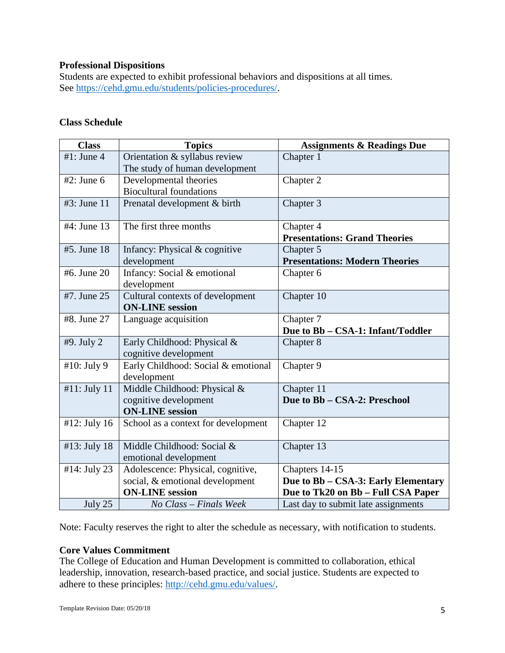### **Professional Dispositions**

Students are expected to exhibit professional behaviors and dispositions at all times. See [https://cehd.gmu.edu/students/policies-procedures/.](https://cehd.gmu.edu/students/policies-procedures/)

### **Class Schedule**

| <b>Class</b>  | <b>Topics</b>                       | <b>Assignments &amp; Readings Due</b> |
|---------------|-------------------------------------|---------------------------------------|
| #1: June $4$  | Orientation & syllabus review       | Chapter 1                             |
|               | The study of human development      |                                       |
| $#2$ : June 6 | Developmental theories              | Chapter 2                             |
|               | <b>Biocultural foundations</b>      |                                       |
| #3: June 11   | Prenatal development & birth        | Chapter 3                             |
| #4: June 13   | The first three months              | Chapter 4                             |
|               |                                     | <b>Presentations: Grand Theories</b>  |
| #5. June 18   | Infancy: Physical & cognitive       | Chapter 5                             |
|               | development                         | <b>Presentations: Modern Theories</b> |
| #6. June 20   | Infancy: Social & emotional         | Chapter 6                             |
|               | development                         |                                       |
| #7. June 25   | Cultural contexts of development    | Chapter 10                            |
|               | <b>ON-LINE</b> session              |                                       |
| #8. June 27   | Language acquisition                | Chapter 7                             |
|               |                                     | Due to Bb - CSA-1: Infant/Toddler     |
| #9. July 2    | Early Childhood: Physical &         | Chapter 8                             |
|               | cognitive development               |                                       |
| #10: July 9   | Early Childhood: Social & emotional | Chapter 9                             |
|               | development                         |                                       |
| #11: July 11  | Middle Childhood: Physical &        | Chapter 11                            |
|               | cognitive development               | Due to Bb - CSA-2: Preschool          |
|               | <b>ON-LINE</b> session              |                                       |
| #12: July 16  | School as a context for development | Chapter 12                            |
|               |                                     |                                       |
| #13: July 18  | Middle Childhood: Social &          | Chapter 13                            |
|               | emotional development               |                                       |
| #14: July 23  | Adolescence: Physical, cognitive,   | Chapters 14-15                        |
|               | social, & emotional development     | Due to Bb – CSA-3: Early Elementary   |
|               | <b>ON-LINE</b> session              | Due to Tk20 on Bb - Full CSA Paper    |
| July 25       | No Class - Finals Week              | Last day to submit late assignments   |

Note: Faculty reserves the right to alter the schedule as necessary, with notification to students.

### **Core Values Commitment**

The College of Education and Human Development is committed to collaboration, ethical leadership, innovation, research-based practice, and social justice. Students are expected to adhere to these principles: [http://cehd.gmu.edu/values/.](http://cehd.gmu.edu/values/)